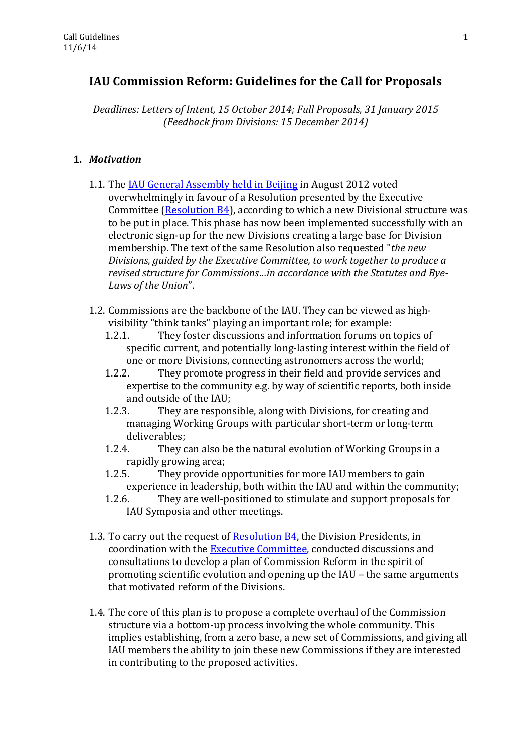# **IAU Commission Reform: Guidelines for the Call for Proposals**

*Deadlines: Letters of Intent, 15 October 2014; Full Proposals, 31 January 2015 (Feedback from Divisions: 15 December 2014)*

## **1.** *Motivation*

- 1.1. Th[e IAU General Assembly held in Beijing](http://www.iau.org/science/meetings/past/general_assemblies/812/) in August 2012 voted overwhelmingly in favour of a Resolution presented by the Executive Committee [\(Resolution B4\)](http://www.iau.org/static/resolutions/IAU2012_English.pdf), according to which a new Divisional structure was to be put in place. This phase has now been implemented successfully with an electronic sign-up for the new Divisions creating a large base for Division membership. The text of the same Resolution also requested "*the new Divisions, guided by the Executive Committee, to work together to produce a revised structure for Commissions…in accordance with the Statutes and Bye-Laws of the Union*".
- 1.2. Commissions are the backbone of the IAU. They can be viewed as highvisibility "think tanks" playing an important role; for example:
	- 1.2.1. They foster discussions and information forums on topics of specific current, and potentially long-lasting interest within the field of one or more Divisions, connecting astronomers across the world;
	- 1.2.2. They promote progress in their field and provide services and expertise to the community e.g. by way of scientific reports, both inside and outside of the IAU;
	- 1.2.3. They are responsible, along with Divisions, for creating and managing Working Groups with particular short-term or long-term deliverables;
	- 1.2.4. They can also be the natural evolution of Working Groups in a rapidly growing area;
	- 1.2.5. They provide opportunities for more IAU members to gain experience in leadership, both within the IAU and within the community;
	- 1.2.6. They are well-positioned to stimulate and support proposals for IAU Symposia and other meetings.
- 1.3. To carry out the request of [Resolution B4,](http://www.iau.org/static/resolutions/IAU2012_English.pdf) the Division Presidents, in coordination with the [Executive Committee,](http://www.iau.org/administration/executive_bodies/executive_committee/) conducted discussions and consultations to develop a plan of Commission Reform in the spirit of promoting scientific evolution and opening up the IAU – the same arguments that motivated reform of the Divisions.
- 1.4. The core of this plan is to propose a complete overhaul of the Commission structure via a bottom-up process involving the whole community. This implies establishing, from a zero base, a new set of Commissions, and giving all IAU members the ability to join these new Commissions if they are interested in contributing to the proposed activities.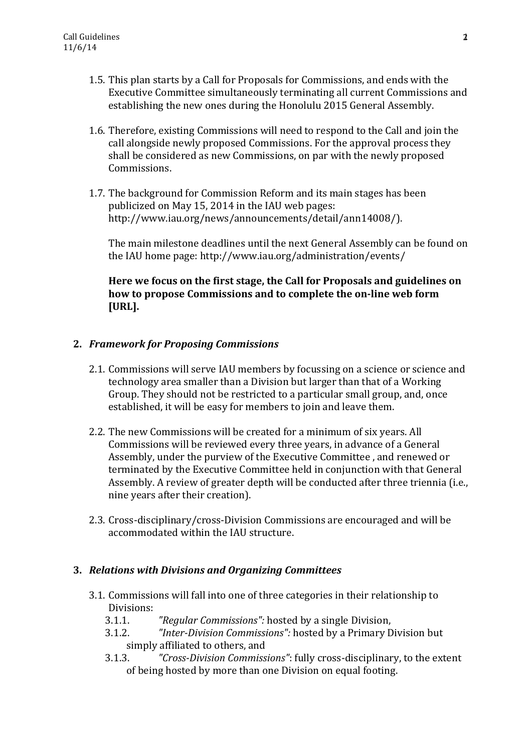- 1.5. This plan starts by a Call for Proposals for Commissions, and ends with the Executive Committee simultaneously terminating all current Commissions and establishing the new ones during the Honolulu 2015 General Assembly.
- 1.6. Therefore, existing Commissions will need to respond to the Call and join the call alongside newly proposed Commissions. For the approval process they shall be considered as new Commissions, on par with the newly proposed Commissions.
- 1.7. The background for Commission Reform and its main stages has been publicized on May 15, 2014 in the IAU web pages: http://www.iau.org/news/announcements/detail/ann14008/).

The main milestone deadlines until the next General Assembly can be found on the IAU home page: http://www.iau.org/administration/events/

## **Here we focus on the first stage, the Call for Proposals and guidelines on how to propose Commissions and to complete the on-line web form [URL].**

## **2.** *Framework for Proposing Commissions*

- 2.1. Commissions will serve IAU members by focussing on a science or science and technology area smaller than a Division but larger than that of a Working Group. They should not be restricted to a particular small group, and, once established, it will be easy for members to join and leave them.
- 2.2. The new Commissions will be created for a minimum of six years. All Commissions will be reviewed every three years, in advance of a General Assembly, under the purview of the Executive Committee , and renewed or terminated by the Executive Committee held in conjunction with that General Assembly. A review of greater depth will be conducted after three triennia (i.e., nine years after their creation).
- 2.3. Cross-disciplinary/cross-Division Commissions are encouraged and will be accommodated within the IAU structure.

#### **3.** *Relations with Divisions and Organizing Committees*

- 3.1. Commissions will fall into one of three categories in their relationship to Divisions:
	- 3.1.1. *"Regular Commissions":* hosted by a single Division,
	- 3.1.2. *"Inter-Division Commissions":* hosted by a Primary Division but simply affiliated to others, and
	- 3.1.3. *"Cross-Division Commissions"*: fully cross-disciplinary, to the extent of being hosted by more than one Division on equal footing.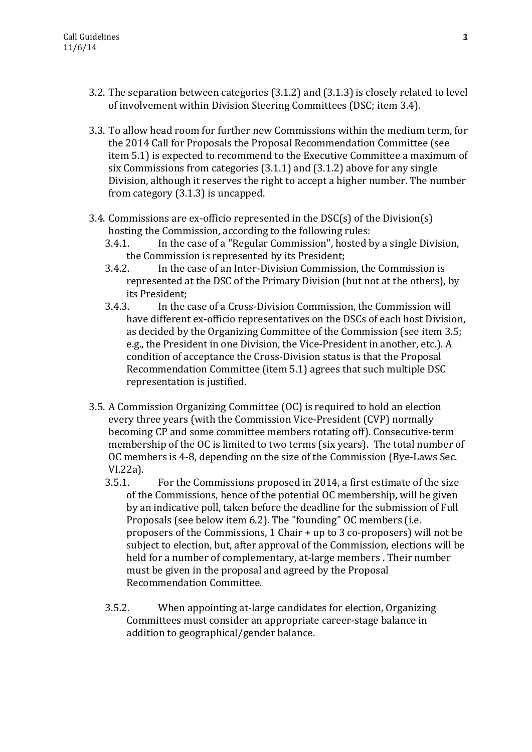- 3.2. The separation between categories (3.1.2) and (3.1.3) is closely related to level of involvement within Division Steering Committees (DSC; item 3.4).
- 3.3. To allow head room for further new Commissions within the medium term, for the 2014 Call for Proposals the Proposal Recommendation Committee (see item 5.1) is expected to recommend to the Executive Committee a maximum of six Commissions from categories (3.1.1) and (3.1.2) above for any single Division, although it reserves the right to accept a higher number. The number from category (3.1.3) is uncapped.
- 3.4. Commissions are ex-officio represented in the DSC(s) of the Division(s) hosting the Commission, according to the following rules:
	- 3.4.1. In the case of a "Regular Commission", hosted by a single Division, the Commission is represented by its President;
	- 3.4.2. In the case of an Inter-Division Commission, the Commission is represented at the DSC of the Primary Division (but not at the others), by its President;
	- 3.4.3. In the case of a Cross-Division Commission, the Commission will have different ex-officio representatives on the DSCs of each host Division, as decided by the Organizing Committee of the Commission (see item 3.5; e.g., the President in one Division, the Vice-President in another, etc.). A condition of acceptance the Cross-Division status is that the Proposal Recommendation Committee (item 5.1) agrees that such multiple DSC representation is justified.
- 3.5. A Commission Organizing Committee (OC) is required to hold an election every three years (with the Commission Vice-President (CVP) normally becoming CP and some committee members rotating off). Consecutive-term membership of the OC is limited to two terms (six years). The total number of OC members is 4-8, depending on the size of the Commission (Bye-Laws Sec. VI.22a).
	- 3.5.1. For the Commissions proposed in 2014, a first estimate of the size of the Commissions, hence of the potential OC membership, will be given by an indicative poll, taken before the deadline for the submission of Full Proposals (see below item 6.2). The "founding" OC members (i.e. proposers of the Commissions, 1 Chair + up to 3 co-proposers) will not be subject to election, but, after approval of the Commission, elections will be held for a number of complementary, at-large members . Their number must be given in the proposal and agreed by the Proposal Recommendation Committee.
	- 3.5.2. When appointing at-large candidates for election, Organizing Committees must consider an appropriate career-stage balance in addition to geographical/gender balance.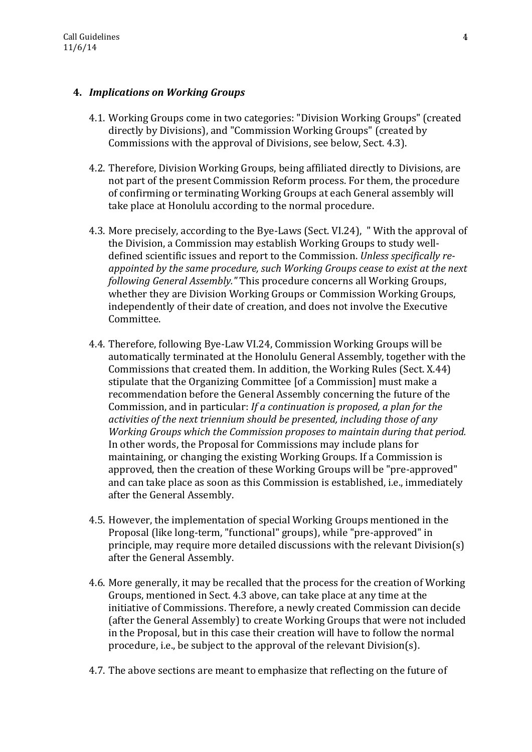## **4.** *Implications on Working Groups*

- 4.1. Working Groups come in two categories: "Division Working Groups" (created directly by Divisions), and "Commission Working Groups" (created by Commissions with the approval of Divisions, see below, Sect. 4.3).
- 4.2. Therefore, Division Working Groups, being affiliated directly to Divisions, are not part of the present Commission Reform process. For them, the procedure of confirming or terminating Working Groups at each General assembly will take place at Honolulu according to the normal procedure.
- 4.3. More precisely, according to the Bye-Laws (Sect. VI.24), " With the approval of the Division, a Commission may establish Working Groups to study welldefined scientific issues and report to the Commission. *Unless specifically reappointed by the same procedure, such Working Groups cease to exist at the next following General Assembly."* This procedure concerns all Working Groups, whether they are Division Working Groups or Commission Working Groups, independently of their date of creation, and does not involve the Executive Committee.
- 4.4. Therefore, following Bye-Law VI.24, Commission Working Groups will be automatically terminated at the Honolulu General Assembly, together with the Commissions that created them. In addition, the Working Rules (Sect. X.44) stipulate that the Organizing Committee [of a Commission] must make a recommendation before the General Assembly concerning the future of the Commission, and in particular: *If a continuation is proposed, a plan for the activities of the next triennium should be presented, including those of any Working Groups which the Commission proposes to maintain during that period.* In other words, the Proposal for Commissions may include plans for maintaining, or changing the existing Working Groups. If a Commission is approved, then the creation of these Working Groups will be "pre-approved" and can take place as soon as this Commission is established, i.e., immediately after the General Assembly.
- 4.5. However, the implementation of special Working Groups mentioned in the Proposal (like long-term, "functional" groups), while "pre-approved" in principle, may require more detailed discussions with the relevant Division(s) after the General Assembly.
- 4.6. More generally, it may be recalled that the process for the creation of Working Groups, mentioned in Sect. 4.3 above, can take place at any time at the initiative of Commissions. Therefore, a newly created Commission can decide (after the General Assembly) to create Working Groups that were not included in the Proposal, but in this case their creation will have to follow the normal procedure, i.e., be subject to the approval of the relevant Division(s).
- 4.7. The above sections are meant to emphasize that reflecting on the future of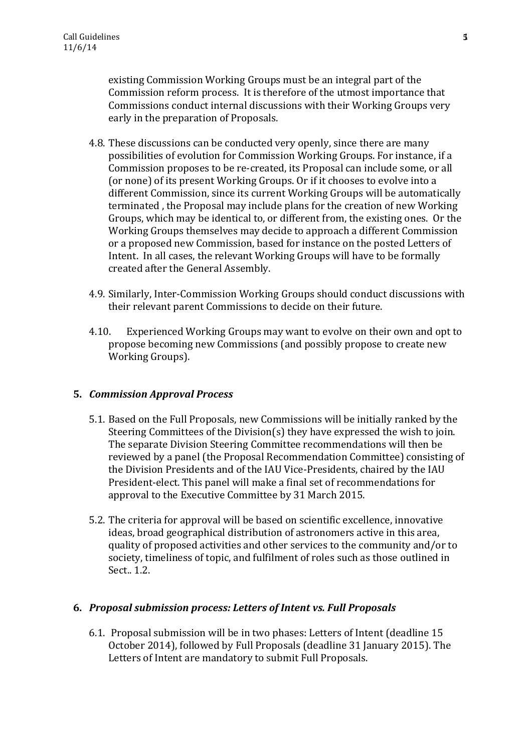existing Commission Working Groups must be an integral part of the Commission reform process. It is therefore of the utmost importance that Commissions conduct internal discussions with their Working Groups very early in the preparation of Proposals.

- 4.8. These discussions can be conducted very openly, since there are many possibilities of evolution for Commission Working Groups. For instance, if a Commission proposes to be re-created, its Proposal can include some, or all (or none) of its present Working Groups. Or if it chooses to evolve into a different Commission, since its current Working Groups will be automatically terminated , the Proposal may include plans for the creation of new Working Groups, which may be identical to, or different from, the existing ones. Or the Working Groups themselves may decide to approach a different Commission or a proposed new Commission, based for instance on the posted Letters of Intent. In all cases, the relevant Working Groups will have to be formally created after the General Assembly.
- 4.9. Similarly, Inter-Commission Working Groups should conduct discussions with their relevant parent Commissions to decide on their future.
- 4.10. Experienced Working Groups may want to evolve on their own and opt to propose becoming new Commissions (and possibly propose to create new Working Groups).

#### **5.** *Commission Approval Process*

- 5.1. Based on the Full Proposals, new Commissions will be initially ranked by the Steering Committees of the Division(s) they have expressed the wish to join. The separate Division Steering Committee recommendations will then be reviewed by a panel (the Proposal Recommendation Committee) consisting of the Division Presidents and of the IAU Vice-Presidents, chaired by the IAU President-elect. This panel will make a final set of recommendations for approval to the Executive Committee by 31 March 2015.
- 5.2. The criteria for approval will be based on scientific excellence, innovative ideas, broad geographical distribution of astronomers active in this area, quality of proposed activities and other services to the community and/or to society, timeliness of topic, and fulfilment of roles such as those outlined in Sect.. 1.2.

#### **6.** *Proposal submission process: Letters of Intent vs. Full Proposals*

6.1. Proposal submission will be in two phases: Letters of Intent (deadline 15 October 2014), followed by Full Proposals (deadline 31 January 2015). The Letters of Intent are mandatory to submit Full Proposals.